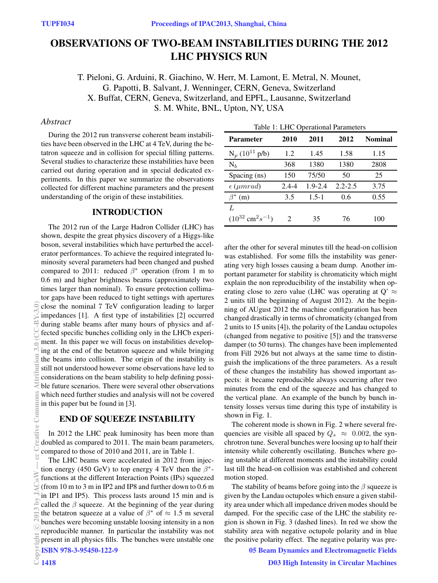# OBSERVATIONS OF TWO-BEAM INSTABILITIES DURING THE 2012 LHC PHYSICS RUN

T. Pieloni, G. Arduini, R. Giachino, W. Herr, M. Lamont, E. Metral, N. Mounet, G. Papotti, B. Salvant, J. Wenninger, CERN, Geneva, Switzerland X. Buffat, CERN, Geneva, Switzerland, and EPFL, Lausanne, Switzerland S. M. White, BNL, Upton, NY, USA

## *Abstract*

During the 2012 run transverse coherent beam instabilities have been observed in the LHC at 4 TeV, during the betatron squeeze and in collision for special filling patterns. Several studies to characterize these instabilities have been carried out during operation and in special dedicated experiments. In this paper we summarize the observations collected for different machine parameters and the present understanding of the origin of these instabilities.

# INTRODUCTION

The 2012 run of the Large Hadron Collider (LHC) has shown, despite the great physics discovery of a Higgs-like boson, several instabilities which have perturbed the accelerator performances. To achieve the required integrated luminosity several parameters had been changed and pushed compared to 2011: reduced  $\beta^*$  operation (from 1 m to 0.6 m) and higher brightness beams (approximately two times larger than nominal). To ensure protection collimator gaps have been reduced to tight settings with apertures close the nominal 7 TeV configuration leading to larger impedances [1]. A first type of instabilities [2] occurred during stable beams after many hours of physics and affected specific bunches colliding only in the LHCb experiment. In this paper we will focus on instabilities developing at the end of the betatron squeeze and while bringing the beams into collision. The origin of the instability is still not understood however some observations have led to considerations on the beam stability to help defining possible future scenarios. There were several other observations which need further studies and analysis will not be covered in this paper but be found in [3].

#### END OF SQUEEZE INSTABILITY

In 2012 the LHC peak luminosity has been more than doubled as compared to 2011. The main beam parameters, compared to those of 2010 and 2011, are in Table 1.

The LHC beams were accelerated in 2012 from injection energy (450 GeV) to top energy 4 TeV then the  $\beta^*$ functions at the different Interaction Points (IPs) squeezed (from 10 m to 3 m in IP2 and IP8 and further down to 0.6 m in IP1 and IP5). This process lasts around 15 min and is called the  $\beta$  squeeze. At the beginning of the year during the betatron squeeze at a value of  $\beta^*$  of  $\approx 1.5$  m several bunches were becoming unstable loosing intensity in a non reproducible manner. In particular the instability was not present in all physics fills. The bunches were unstable one<br>  $\frac{1}{2}$  ISBN 978-3-95450-122-9<br>  $\frac{1418}{2}$ ISBN 978-3-95450-122-9

| Table 1: LHC Operational Parameters |  |  |  |  |  |  |  |  |  |  |  |
|-------------------------------------|--|--|--|--|--|--|--|--|--|--|--|
|                                     |  |  |  |  |  |  |  |  |  |  |  |

| <b>Parameter</b>                       | 2010          | 2011        | 2012        | <b>Nominal</b> |  |  |
|----------------------------------------|---------------|-------------|-------------|----------------|--|--|
| $N_p(10^{11} p/b)$                     | 1.2           | 1.45        | 1.58        | 1.15           |  |  |
| $N_h$                                  | 368           | 1380        | 1380        | 2808           |  |  |
| Spacing (ns)                           | 150           | 75/50       | 50          | 25             |  |  |
| $\epsilon$ ( $\mu mrad$ )              | $2.4 - 4$     | $1.9 - 2.4$ | $2.2 - 2.5$ | 3.75           |  |  |
| (m)                                    | 3.5           | $1.5 - 1$   | 0.6         | 0.55           |  |  |
| L                                      |               |             |             |                |  |  |
| $(10^{32} \text{ cm}^2 \text{s}^{-1})$ | $\mathcal{L}$ | 35          | 76          | 100            |  |  |

after the other for several minutes till the head-on collision was established. For some fills the instability was generating very high losses causing a beam dump. Another important parameter for stability is chromaticity which might explain the non reproducibility of the instability when operating close to zero value (LHC was operating at Q'  $\approx$ 2 units till the beginning of August 2012). At the beginning of AUgust 2012 the machine configuration has been changed drastically in terms of chromaticity (changed from 2 units to 15 units [4]), the polarity of the Landau octupoles (changed from negative to positive [5]) and the transverse damper (to 50 turns). The changes have been implemented from Fill 2926 but not always at the same time to distinguish the implications of the three parameters. As a result of these changes the instability has showed important aspects: it became reproducible always occurring after two minutes from the end of the squeeze and has changed to the vertical plane. An example of the bunch by bunch intensity losses versus time during this type of instability is shown in Fig. 1.

The coherent mode is shown in Fig. 2 where several frequencies are visible all spaced by  $Q_s \approx 0.002$ , the synchrotron tune. Several bunches were loosing up to half their intensity while coherently oscillating. Bunches where going unstable at different moments and the instability could last till the head-on collision was established and coherent motion stoped.

The stability of beams before going into the  $\beta$  squeeze is given by the Landau octupoles which ensure a given stability area under which all impedance driven modes should be damped. For the specific case of the LHC the stability region is shown in Fig. 3 (dashed lines). In red we show the stability area with negative octupole polarity and in blue the positive polarity effect. The negative polarity was pre-

05 Beam Dynamics and Electromagnetic Fields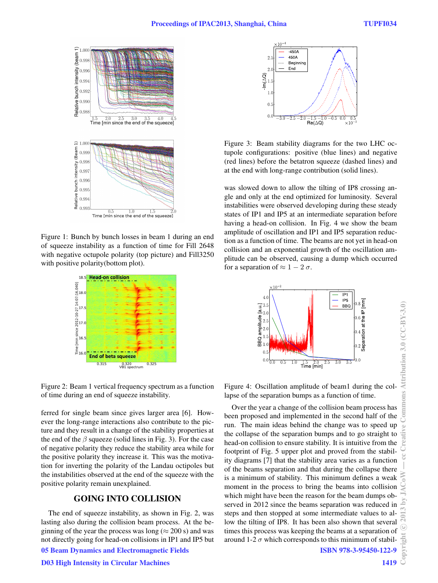

Figure 1: Bunch by bunch losses in beam 1 during an end of squeeze instability as a function of time for Fill 2648 with negative octupole polarity (top picture) and Fill3250 with positive polarity(bottom plot).



Figure 2: Beam 1 vertical frequency spectrum as a function of time during an end of squeeze instability.

ferred for single beam since gives larger area [6]. However the long-range interactions also contribute to the picture and they result in a change of the stability properties at the end of the  $\beta$  squeeze (solid lines in Fig. 3). For the case of negative polarity they reduce the stability area while for the positive polarity they increase it. This was the motivation for inverting the polarity of the Landau octipoles but the instabilities observed at the end of the squeeze with the positive polarity remain unexplained.

## GOING INTO COLLISION

The end of squeeze instability, as shown in Fig. 2, was lasting also during the collision beam process. At the beginning of the year the process was long ( $\approx$  200 s) and was not directly going for head-on collisions in IP1 and IP5 but 05 Beam Dynamics and Electromagnetic Fields

D03 High Intensity in Circular Machines



Figure 3: Beam stability diagrams for the two LHC octupole configurations: positive (blue lines) and negative (red lines) before the betatron squeeze (dashed lines) and at the end with long-range contribution (solid lines).

was slowed down to allow the tilting of IP8 crossing angle and only at the end optimized for luminosity. Several instabilities were observed developing during these steady states of IP1 and IP5 at an intermediate separation before having a head-on collision. In Fig. 4 we show the beam amplitude of oscillation and IP1 and IP5 separation reduction as a function of time. The beams are not yet in head-on collision and an exponential growth of the oscillation amplitude can be observed, causing a dump which occurred for a separation of  $\approx 1 - 2 \sigma$ .



Figure 4: Oscillation amplitude of beam1 during the collapse of the separation bumps as a function of time.

Over the year a change of the collision beam process has been proposed and implemented in the second half of the run. The main ideas behind the change was to speed up the collapse of the separation bumps and to go straight to head-on collision to ensure stability. It is intuitive from the footprint of Fig. 5 upper plot and proved from the stability diagrams [7] that the stability area varies as a function of the beams separation and that during the collapse there is a minimum of stability. This minimum defines a weak moment in the process to bring the beams into collision which might have been the reason for the beam dumps observed in 2012 since the beams separation was reduced in steps and then stopped at some intermediate values to allow the tilting of IP8. It has been also shown that several times this process was keeping the beams at a separation of around 1-2  $\sigma$  which corresponds to this minimum of stabil-

ISBN 978-3-95450-122-9